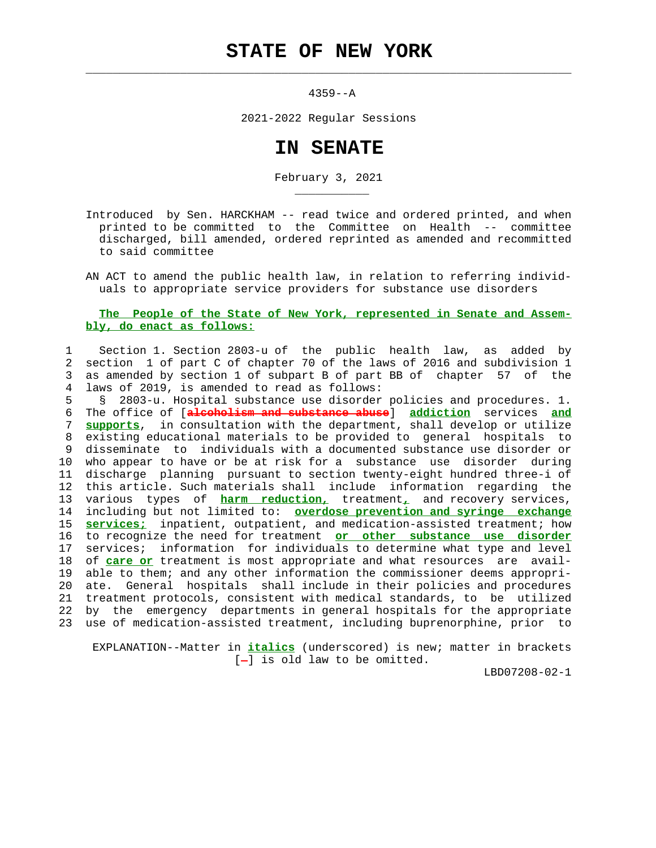## **STATE OF NEW YORK**

 $\mathcal{L}_\text{max} = \frac{1}{2} \sum_{i=1}^{n} \frac{1}{2} \sum_{i=1}^{n} \frac{1}{2} \sum_{i=1}^{n} \frac{1}{2} \sum_{i=1}^{n} \frac{1}{2} \sum_{i=1}^{n} \frac{1}{2} \sum_{i=1}^{n} \frac{1}{2} \sum_{i=1}^{n} \frac{1}{2} \sum_{i=1}^{n} \frac{1}{2} \sum_{i=1}^{n} \frac{1}{2} \sum_{i=1}^{n} \frac{1}{2} \sum_{i=1}^{n} \frac{1}{2} \sum_{i=1}^{n} \frac{1$ 

\_\_\_\_\_\_\_\_\_\_\_

4359--A

2021-2022 Regular Sessions

## **IN SENATE**

February 3, 2021

 Introduced by Sen. HARCKHAM -- read twice and ordered printed, and when printed to be committed to the Committee on Health -- committee discharged, bill amended, ordered reprinted as amended and recommitted to said committee

 AN ACT to amend the public health law, in relation to referring individ uals to appropriate service providers for substance use disorders

## **The People of the State of New York, represented in Senate and Assem bly, do enact as follows:**

 1 Section 1. Section 2803-u of the public health law, as added by 2 section 1 of part C of chapter 70 of the laws of 2016 and subdivision 1 3 as amended by section 1 of subpart B of part BB of chapter 57 of the 4 laws of 2019, is amended to read as follows:

 5 § 2803-u. Hospital substance use disorder policies and procedures. 1. 6 The office of [**alcoholism and substance abuse**] **addiction** services **and** 7 **supports**, in consultation with the department, shall develop or utilize 8 existing educational materials to be provided to general hospitals to 9 disseminate to individuals with a documented substance use disorder or 10 who appear to have or be at risk for a substance use disorder during 11 discharge planning pursuant to section twenty-eight hundred three-i of 12 this article. Such materials shall include information regarding the 13 various types of **harm reduction,** treatment**,** and recovery services, 14 including but not limited to: **overdose prevention and syringe exchange** 15 **services;** inpatient, outpatient, and medication-assisted treatment; how 16 to recognize the need for treatment **or other substance use disorder** 17 services; information for individuals to determine what type and level 18 of **care or** treatment is most appropriate and what resources are avail- 19 able to them; and any other information the commissioner deems appropri- 20 ate. General hospitals shall include in their policies and procedures 21 treatment protocols, consistent with medical standards, to be utilized 22 by the emergency departments in general hospitals for the appropriate 23 use of medication-assisted treatment, including buprenorphine, prior to

 EXPLANATION--Matter in **italics** (underscored) is new; matter in brackets  $[-]$  is old law to be omitted.

LBD07208-02-1